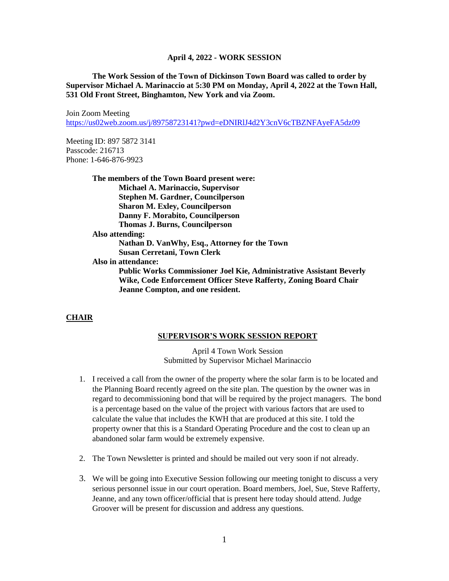**The Work Session of the Town of Dickinson Town Board was called to order by Supervisor Michael A. Marinaccio at 5:30 PM on Monday, April 4, 2022 at the Town Hall, 531 Old Front Street, Binghamton, New York and via Zoom.**

Join Zoom Meeting <https://us02web.zoom.us/j/89758723141?pwd=eDNIRlJ4d2Y3cnV6cTBZNFAyeFA5dz09>

Meeting ID: 897 5872 3141 Passcode: 216713 Phone: 1-646-876-9923

> **The members of the Town Board present were: Michael A. Marinaccio, Supervisor Stephen M. Gardner, Councilperson Sharon M. Exley, Councilperson Danny F. Morabito, Councilperson Thomas J. Burns, Councilperson Also attending: Nathan D. VanWhy, Esq., Attorney for the Town Susan Cerretani, Town Clerk Also in attendance: Public Works Commissioner Joel Kie, Administrative Assistant Beverly Wike, Code Enforcement Officer Steve Rafferty, Zoning Board Chair Jeanne Compton, and one resident.**

#### **CHAIR**

#### **SUPERVISOR'S WORK SESSION REPORT**

April 4 Town Work Session Submitted by Supervisor Michael Marinaccio

- 1. I received a call from the owner of the property where the solar farm is to be located and the Planning Board recently agreed on the site plan. The question by the owner was in regard to decommissioning bond that will be required by the project managers. The bond is a percentage based on the value of the project with various factors that are used to calculate the value that includes the KWH that are produced at this site. I told the property owner that this is a Standard Operating Procedure and the cost to clean up an abandoned solar farm would be extremely expensive.
- 2. The Town Newsletter is printed and should be mailed out very soon if not already.
- 3. We will be going into Executive Session following our meeting tonight to discuss a very serious personnel issue in our court operation. Board members, Joel, Sue, Steve Rafferty, Jeanne, and any town officer/official that is present here today should attend. Judge Groover will be present for discussion and address any questions.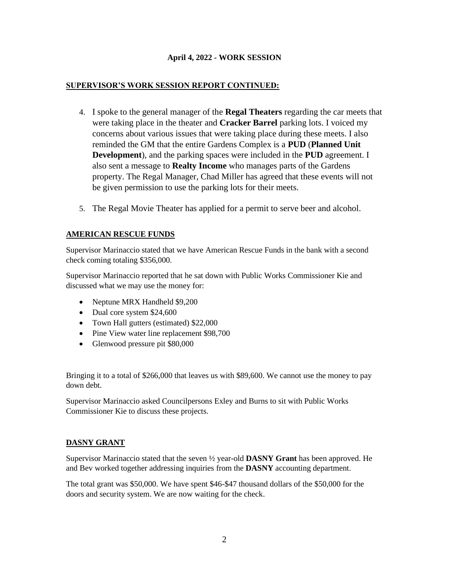## **SUPERVISOR'S WORK SESSION REPORT CONTINUED:**

- 4. I spoke to the general manager of the **Regal Theaters** regarding the car meets that were taking place in the theater and **Cracker Barrel** parking lots. I voiced my concerns about various issues that were taking place during these meets. I also reminded the GM that the entire Gardens Complex is a **PUD** (**Planned Unit Development**), and the parking spaces were included in the **PUD** agreement. I also sent a message to **Realty Income** who manages parts of the Gardens property. The Regal Manager, Chad Miller has agreed that these events will not be given permission to use the parking lots for their meets.
- 5. The Regal Movie Theater has applied for a permit to serve beer and alcohol.

## **AMERICAN RESCUE FUNDS**

Supervisor Marinaccio stated that we have American Rescue Funds in the bank with a second check coming totaling \$356,000.

Supervisor Marinaccio reported that he sat down with Public Works Commissioner Kie and discussed what we may use the money for:

- Neptune MRX Handheld \$9,200
- Dual core system \$24,600
- Town Hall gutters (estimated) \$22,000
- Pine View water line replacement \$98,700
- Glenwood pressure pit \$80,000

Bringing it to a total of \$266,000 that leaves us with \$89,600. We cannot use the money to pay down debt.

Supervisor Marinaccio asked Councilpersons Exley and Burns to sit with Public Works Commissioner Kie to discuss these projects.

## **DASNY GRANT**

Supervisor Marinaccio stated that the seven ½ year-old **DASNY Grant** has been approved. He and Bev worked together addressing inquiries from the **DASNY** accounting department.

The total grant was \$50,000. We have spent \$46-\$47 thousand dollars of the \$50,000 for the doors and security system. We are now waiting for the check.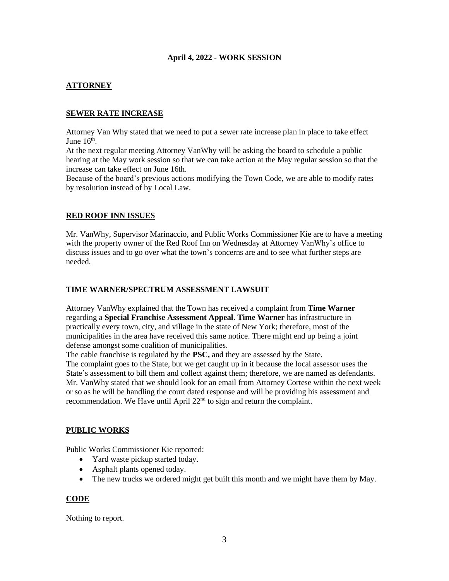# **ATTORNEY**

## **SEWER RATE INCREASE**

Attorney Van Why stated that we need to put a sewer rate increase plan in place to take effect June  $16<sup>th</sup>$ .

At the next regular meeting Attorney VanWhy will be asking the board to schedule a public hearing at the May work session so that we can take action at the May regular session so that the increase can take effect on June 16th.

Because of the board's previous actions modifying the Town Code, we are able to modify rates by resolution instead of by Local Law.

## **RED ROOF INN ISSUES**

Mr. VanWhy, Supervisor Marinaccio, and Public Works Commissioner Kie are to have a meeting with the property owner of the Red Roof Inn on Wednesday at Attorney VanWhy's office to discuss issues and to go over what the town's concerns are and to see what further steps are needed.

#### **TIME WARNER/SPECTRUM ASSESSMENT LAWSUIT**

Attorney VanWhy explained that the Town has received a complaint from **Time Warner** regarding a **Special Franchise Assessment Appeal**. **Time Warner** has infrastructure in practically every town, city, and village in the state of New York; therefore, most of the municipalities in the area have received this same notice. There might end up being a joint defense amongst some coalition of municipalities.

The cable franchise is regulated by the **PSC,** and they are assessed by the State.

The complaint goes to the State, but we get caught up in it because the local assessor uses the State's assessment to bill them and collect against them; therefore, we are named as defendants. Mr. VanWhy stated that we should look for an email from Attorney Cortese within the next week or so as he will be handling the court dated response and will be providing his assessment and recommendation. We Have until April 22<sup>nd</sup> to sign and return the complaint.

## **PUBLIC WORKS**

Public Works Commissioner Kie reported:

- Yard waste pickup started today.
- Asphalt plants opened today.
- The new trucks we ordered might get built this month and we might have them by May.

## **CODE**

Nothing to report.